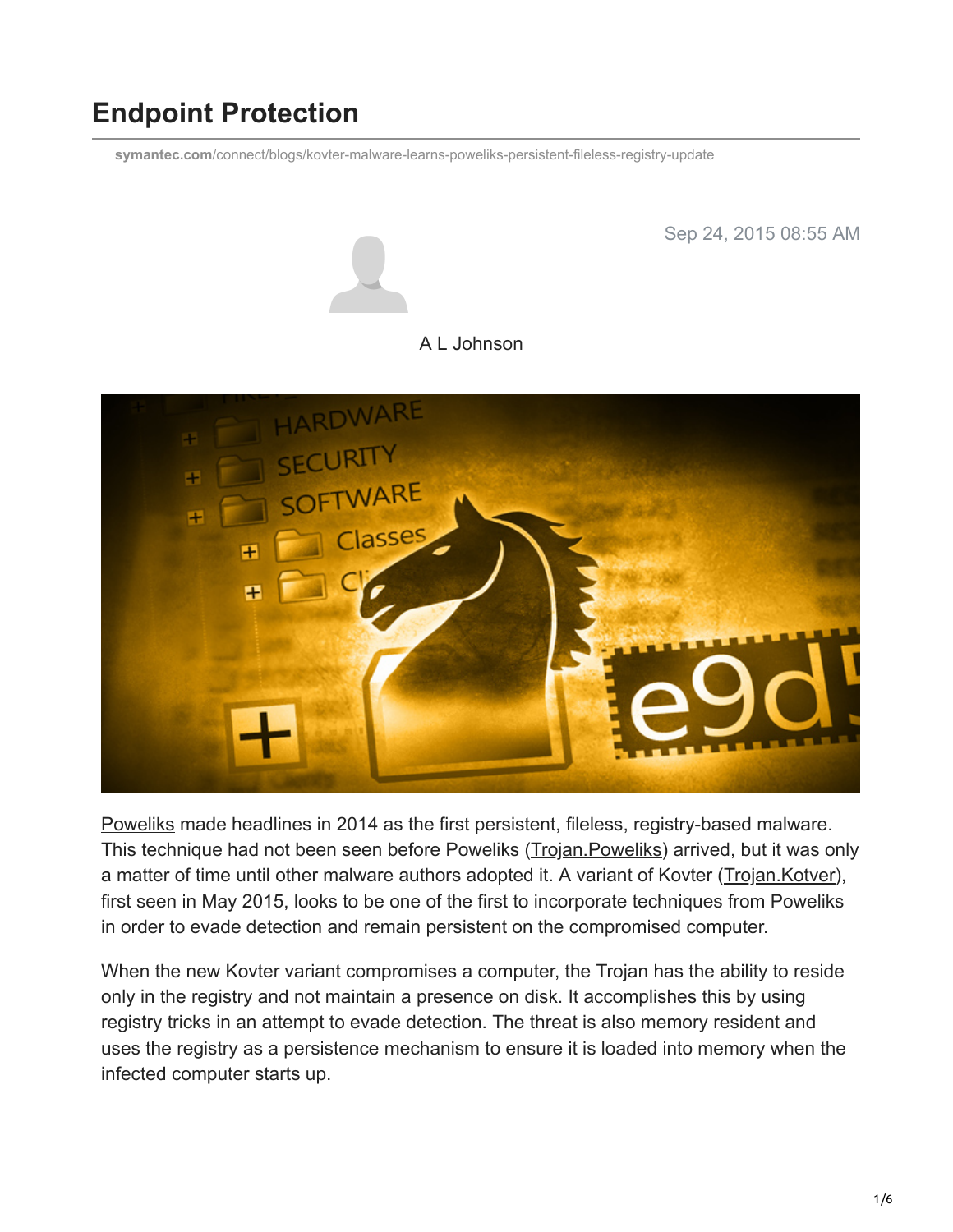# **Endpoint Protection**

**symantec.com**[/connect/blogs/kovter-malware-learns-poweliks-persistent-fileless-registry-update](https://www.symantec.com/connect/blogs/kovter-malware-learns-poweliks-persistent-fileless-registry-update)



[Poweliks](http://www.symantec.com/content/en/us/enterprise/media/security_response/whitepapers/evolution-of-poweliks.pdf) made headlines in 2014 as the first persistent, fileless, registry-based malware. This technique had not been seen before Poweliks ([Trojan.Poweliks](http://www.symantec.com/security_response/writeup.jsp?docid=2014-080408-5614-99)) arrived, but it was only a matter of time until other malware authors adopted it. A variant of Kovter ([Trojan.Kotver\)](https://www.symantec.com/security_response/writeup.jsp?docid=2015-082817-0932-99), first seen in May 2015, looks to be one of the first to incorporate techniques from Poweliks in order to evade detection and remain persistent on the compromised computer.

When the new Kovter variant compromises a computer, the Trojan has the ability to reside only in the registry and not maintain a presence on disk. It accomplishes this by using registry tricks in an attempt to evade detection. The threat is also memory resident and uses the registry as a persistence mechanism to ensure it is loaded into memory when the infected computer starts up.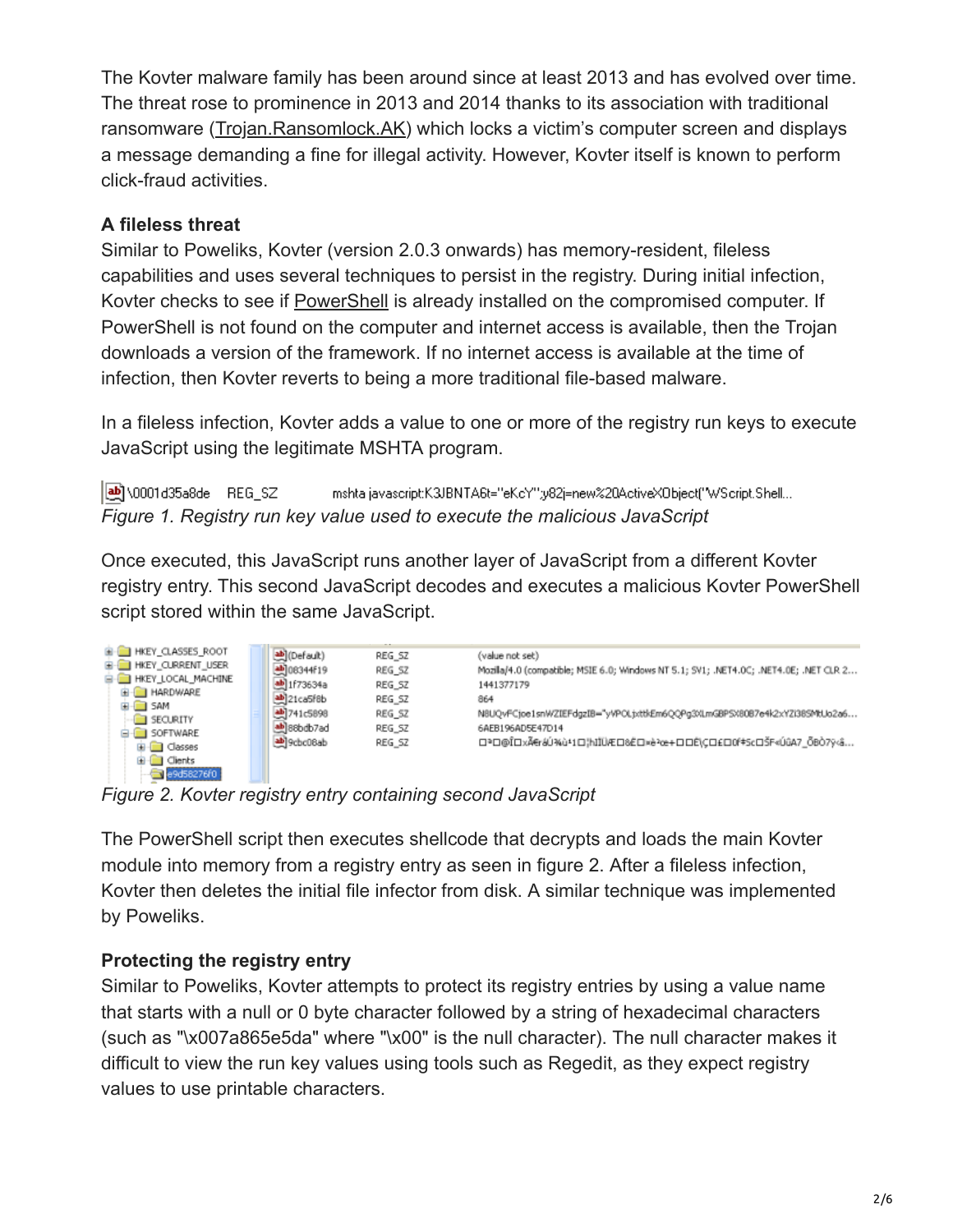The Kovter malware family has been around since at least 2013 and has evolved over time. The threat rose to prominence in 2013 and 2014 thanks to its association with traditional ransomware [\(Trojan.Ransomlock.AK](https://www.symantec.com/security_response/writeup.jsp?docid=2014-040111-0605-99)) which locks a victim's computer screen and displays a message demanding a fine for illegal activity. However, Kovter itself is known to perform click-fraud activities.

## **A fileless threat**

Similar to Poweliks, Kovter (version 2.0.3 onwards) has memory-resident, fileless capabilities and uses several techniques to persist in the registry. During initial infection, Kovter checks to see if [PowerShell](https://en.wikipedia.org/wiki/Windows_PowerShell) is already installed on the compromised computer. If PowerShell is not found on the computer and internet access is available, then the Trojan downloads a version of the framework. If no internet access is available at the time of infection, then Kovter reverts to being a more traditional file-based malware.

In a fileless infection, Kovter adds a value to one or more of the registry run keys to execute JavaScript using the legitimate MSHTA program.

**ab** \0001d35a8de REG SZ mshta javascript:K3JBNTA6t="eKcY";y82j=new%20ActiveX0bject("WScript:Shell... *Figure 1. Registry run key value used to execute the malicious JavaScript*

Once executed, this JavaScript runs another layer of JavaScript from a different Kovter registry entry. This second JavaScript decodes and executes a malicious Kovter PowerShell script stored within the same JavaScript.

| <b>E-CONTROL HIS HELM CLASSES ROOT</b> |                   |        |                                                                                       |
|----------------------------------------|-------------------|--------|---------------------------------------------------------------------------------------|
|                                        | ab (Default)      | REG SZ | (value not set)                                                                       |
| <b>E- HKEY CURRENT USER</b>            | إلى 344f19        | REG SZ | Mozila/4.0 (compatible; MSIE 6.0; Windows NT 5.1; SV1; .NET4.0C; .NET4.0E; .NET CLR 2 |
| E-C HKEY LOCAL MACHINE                 | da 1f73634a       | REG_SZ | 1441377179                                                                            |
| <b>E-BI HARDWARE</b>                   | ab 21ca5f8b       | REG SZ | 864                                                                                   |
| E-C SAM                                | <b>스</b> 741c5898 | REG SZ | N8UQvFCjoe1snWZIEFdgzIB="yVPOLjxttkEm6QQPg3XLmGBPSX80B7e4k2xYZi38SMtUo2a6             |
| SECURITY<br><b>E-REDISOFTWARE</b>      | ab 88bdb7ad       | REG_SZ | 6AEB196AD5E47D14                                                                      |
| E Classes                              | ab]9cbc08ab       | REG SZ | □P□@Î□xÀráÚ%ù*1□}hIIÜÆ□&Ĕ□xè?œ+□□Ĕ\C□£□0f‡Sc□ŠF«ÚûA7_ŐBÒ7ÿ<â                          |
|                                        |                   |        |                                                                                       |
| <b>E</b> Clients                       |                   |        |                                                                                       |
| $-49$ d58276f0                         |                   |        |                                                                                       |

*Figure 2. Kovter registry entry containing second JavaScript*

The PowerShell script then executes shellcode that decrypts and loads the main Kovter module into memory from a registry entry as seen in figure 2. After a fileless infection, Kovter then deletes the initial file infector from disk. A similar technique was implemented by Poweliks.

# **Protecting the registry entry**

Similar to Poweliks, Kovter attempts to protect its registry entries by using a value name that starts with a null or 0 byte character followed by a string of hexadecimal characters (such as "\x007a865e5da" where "\x00" is the null character). The null character makes it difficult to view the run key values using tools such as Regedit, as they expect registry values to use printable characters.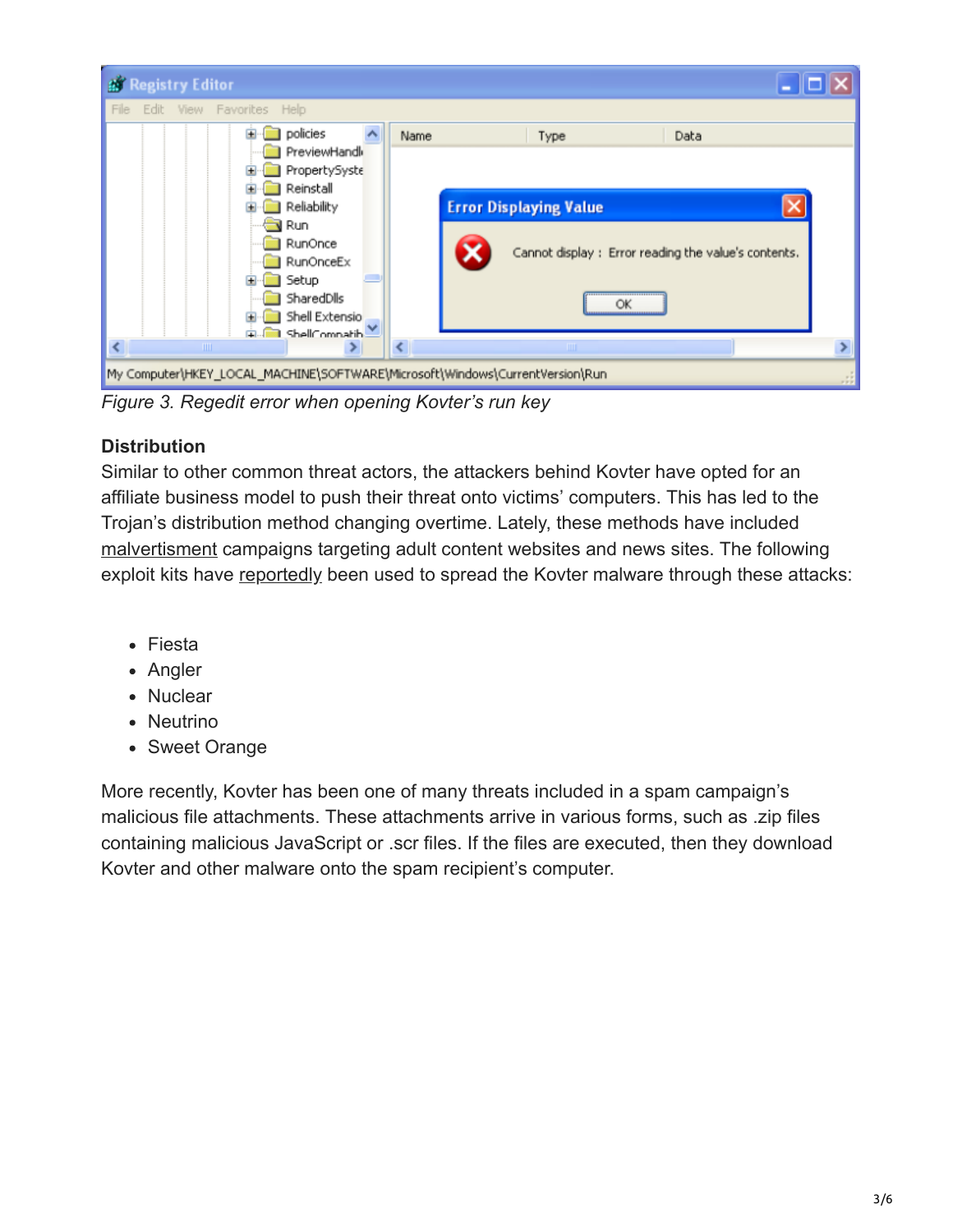| $\blacksquare$ $\blacksquare$ $\blacksquare$<br><b>By Registry Editor</b>                                                                                                                                                         |                                                                                                                  |  |  |  |  |
|-----------------------------------------------------------------------------------------------------------------------------------------------------------------------------------------------------------------------------------|------------------------------------------------------------------------------------------------------------------|--|--|--|--|
| File<br>Edit View Favorites Help                                                                                                                                                                                                  |                                                                                                                  |  |  |  |  |
| policies<br>÷<br>Name<br>PreviewHandl<br>PropertySyste<br>Reinstall<br>Reliability<br><b>Run</b><br>RunOnce<br>RunOnceEx<br>Setup<br>SharedDlls<br>Shell Extensio<br>ShellCompatib<br>Ġ.<br>$\left\langle \right\rangle$<br>TILL. | Type<br>Data<br><b>Error Displaying Value</b><br>Cannot display : Error reading the value's contents.<br>ŌK<br>Ш |  |  |  |  |
| My Computer\HKEY_LOCAL_MACHINE\SOFTWARE\Microsoft\Windows\CurrentVersion\Run<br>127                                                                                                                                               |                                                                                                                  |  |  |  |  |

*Figure 3. Regedit error when opening Kovter's run key*

# **Distribution**

Similar to other common threat actors, the attackers behind Kovter have opted for an affiliate business model to push their threat onto victims' computers. This has led to the Trojan's distribution method changing overtime. Lately, these methods have included [malvertisment](https://en.wikipedia.org/wiki/Windows_PowerShell) campaigns targeting adult content websites and news sites. The following exploit kits have [reportedly](http://malware.dontneedcoffee.com/2015/07/kovter-adfraud-is-updating-flash-for-you.html) been used to spread the Kovter malware through these attacks:

- Fiesta
- Angler
- Nuclear
- Neutrino
- Sweet Orange

More recently, Kovter has been one of many threats included in a spam campaign's malicious file attachments. These attachments arrive in various forms, such as .zip files containing malicious JavaScript or .scr files. If the files are executed, then they download Kovter and other malware onto the spam recipient's computer.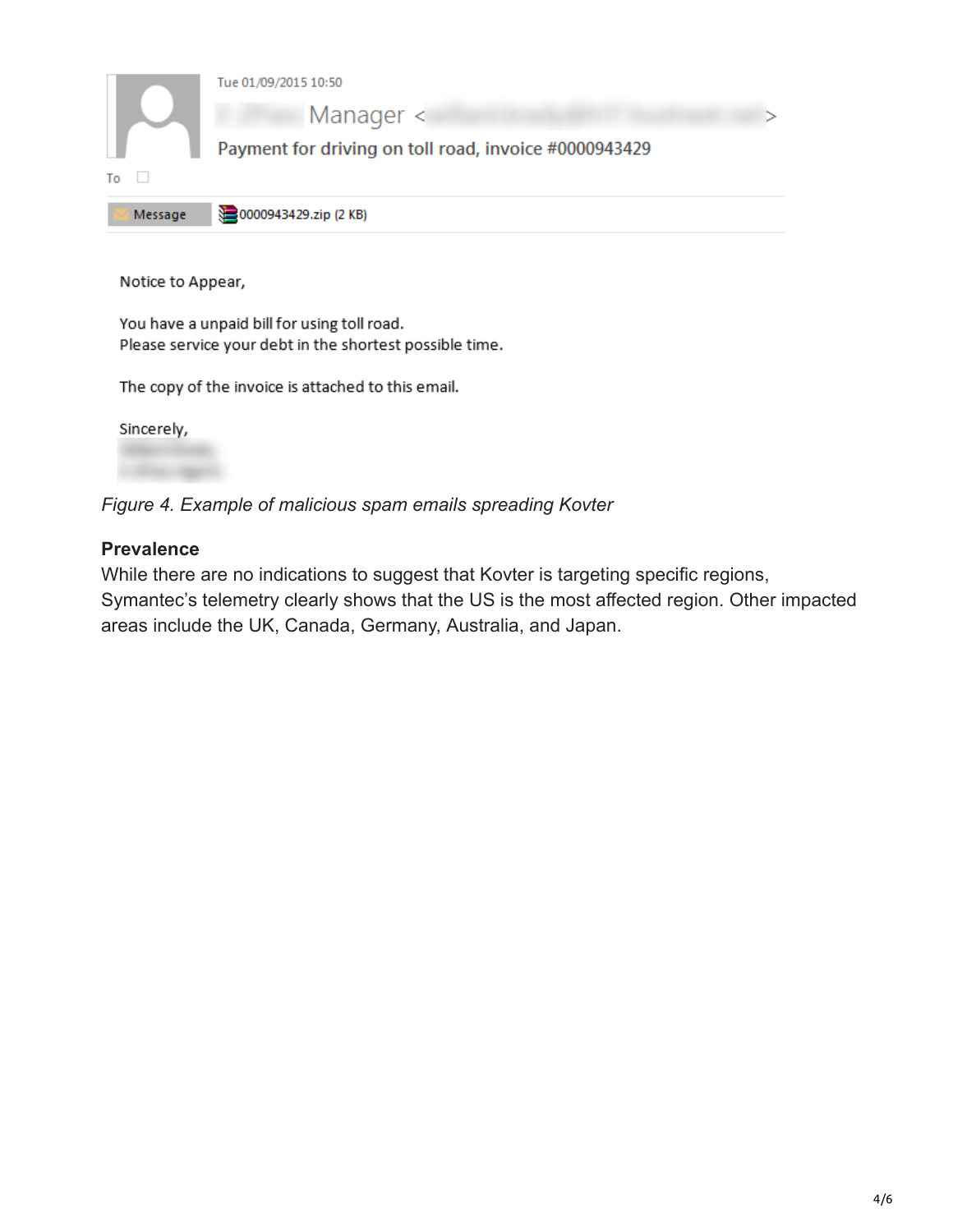

You have a unpaid bill for using toll road. Please service your debt in the shortest possible time.

The copy of the invoice is attached to this email.

Sincerely,

*Figure 4. Example of malicious spam emails spreading Kovter*

### **Prevalence**

While there are no indications to suggest that Kovter is targeting specific regions, Symantec's telemetry clearly shows that the US is the most affected region. Other impacted areas include the UK, Canada, Germany, Australia, and Japan.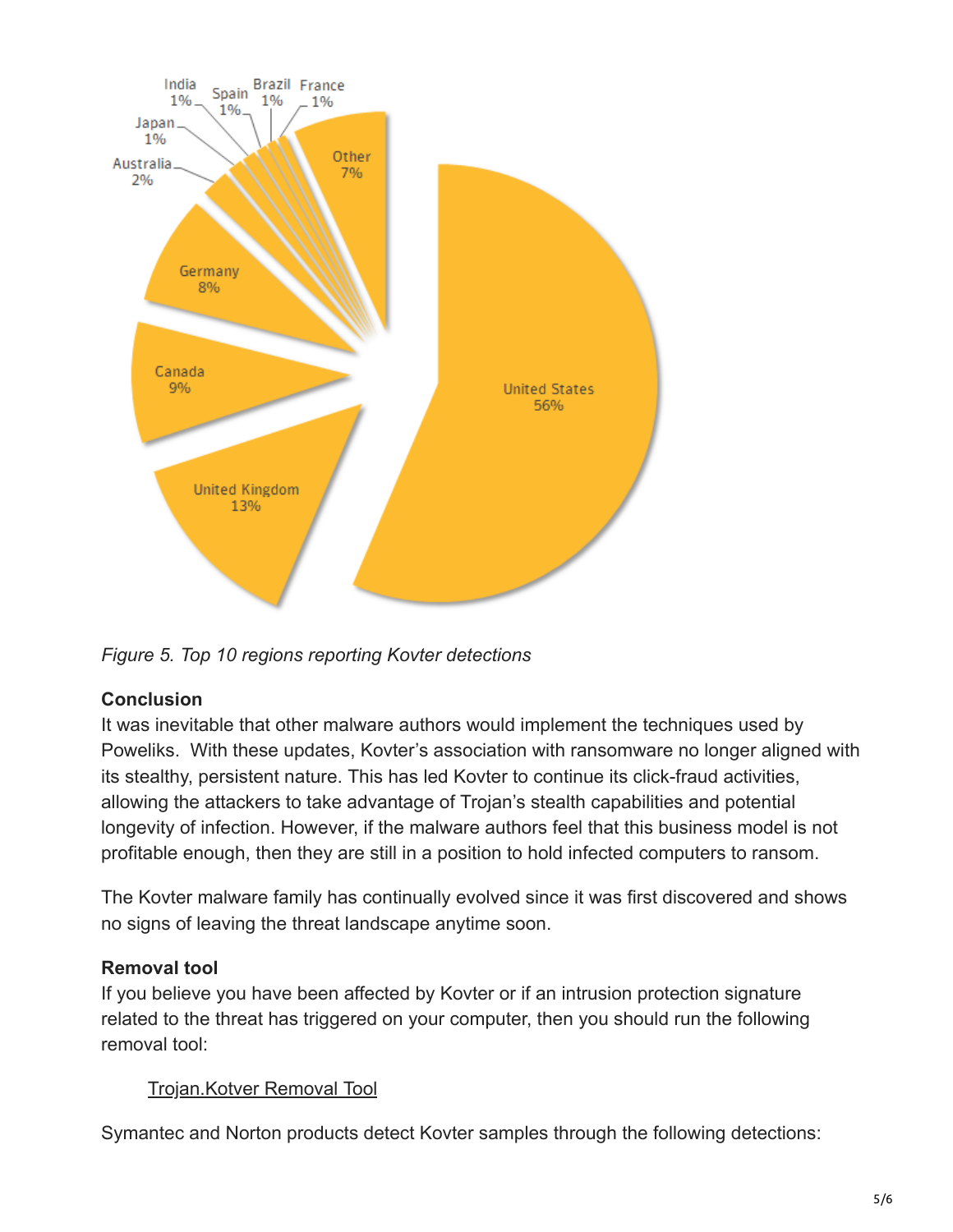

*Figure 5. Top 10 regions reporting Kovter detections*

## **Conclusion**

It was inevitable that other malware authors would implement the techniques used by Poweliks. With these updates, Kovter's association with ransomware no longer aligned with its stealthy, persistent nature. This has led Kovter to continue its click-fraud activities, allowing the attackers to take advantage of Trojan's stealth capabilities and potential longevity of infection. However, if the malware authors feel that this business model is not profitable enough, then they are still in a position to hold infected computers to ransom.

The Kovter malware family has continually evolved since it was first discovered and shows no signs of leaving the threat landscape anytime soon.

# **Removal tool**

If you believe you have been affected by Kovter or if an intrusion protection signature related to the threat has triggered on your computer, then you should run the following removal tool:

## [Trojan.Kotver Removal Tool](https://www.symantec.com/security_response/writeup.jsp?docid=2015-092321-2230-99)

Symantec and Norton products detect Kovter samples through the following detections: